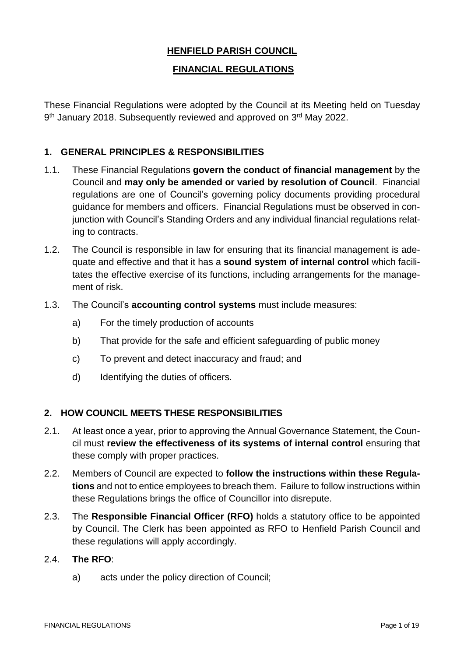# **HENFIELD PARISH COUNCIL**

## **FINANCIAL REGULATIONS**

These Financial Regulations were adopted by the Council at its Meeting held on Tuesday 9<sup>th</sup> January 2018. Subsequently reviewed and approved on 3<sup>rd</sup> May 2022.

### **1. GENERAL PRINCIPLES & RESPONSIBILITIES**

- 1.1. These Financial Regulations **govern the conduct of financial management** by the Council and **may only be amended or varied by resolution of Council**. Financial regulations are one of Council's governing policy documents providing procedural guidance for members and officers. Financial Regulations must be observed in conjunction with Council's Standing Orders and any individual financial regulations relating to contracts.
- 1.2. The Council is responsible in law for ensuring that its financial management is adequate and effective and that it has a **sound system of internal control** which facilitates the effective exercise of its functions, including arrangements for the management of risk.
- 1.3. The Council's **accounting control systems** must include measures:
	- a) For the timely production of accounts
	- b) That provide for the safe and efficient safeguarding of public money
	- c) To prevent and detect inaccuracy and fraud; and
	- d) Identifying the duties of officers.

#### **2. HOW COUNCIL MEETS THESE RESPONSIBILITIES**

- 2.1. At least once a year, prior to approving the Annual Governance Statement, the Council must **review the effectiveness of its systems of internal control** ensuring that these comply with proper practices.
- 2.2. Members of Council are expected to **follow the instructions within these Regulations** and not to entice employees to breach them. Failure to follow instructions within these Regulations brings the office of Councillor into disrepute.
- 2.3. The **Responsible Financial Officer (RFO)** holds a statutory office to be appointed by Council. The Clerk has been appointed as RFO to Henfield Parish Council and these regulations will apply accordingly.
- 2.4. **The RFO**:
	- a) acts under the policy direction of Council;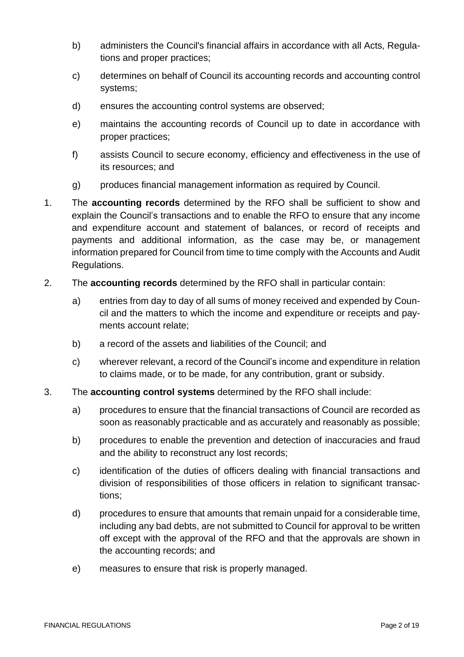- b) administers the Council's financial affairs in accordance with all Acts, Regulations and proper practices;
- c) determines on behalf of Council its accounting records and accounting control systems;
- d) ensures the accounting control systems are observed;
- e) maintains the accounting records of Council up to date in accordance with proper practices;
- f) assists Council to secure economy, efficiency and effectiveness in the use of its resources; and
- g) produces financial management information as required by Council.
- 1. The **accounting records** determined by the RFO shall be sufficient to show and explain the Council's transactions and to enable the RFO to ensure that any income and expenditure account and statement of balances, or record of receipts and payments and additional information, as the case may be, or management information prepared for Council from time to time comply with the Accounts and Audit Regulations.
- 2. The **accounting records** determined by the RFO shall in particular contain:
	- a) entries from day to day of all sums of money received and expended by Council and the matters to which the income and expenditure or receipts and payments account relate;
	- b) a record of the assets and liabilities of the Council; and
	- c) wherever relevant, a record of the Council's income and expenditure in relation to claims made, or to be made, for any contribution, grant or subsidy.
- 3. The **accounting control systems** determined by the RFO shall include:
	- a) procedures to ensure that the financial transactions of Council are recorded as soon as reasonably practicable and as accurately and reasonably as possible;
	- b) procedures to enable the prevention and detection of inaccuracies and fraud and the ability to reconstruct any lost records;
	- c) identification of the duties of officers dealing with financial transactions and division of responsibilities of those officers in relation to significant transactions;
	- d) procedures to ensure that amounts that remain unpaid for a considerable time, including any bad debts, are not submitted to Council for approval to be written off except with the approval of the RFO and that the approvals are shown in the accounting records; and
	- e) measures to ensure that risk is properly managed.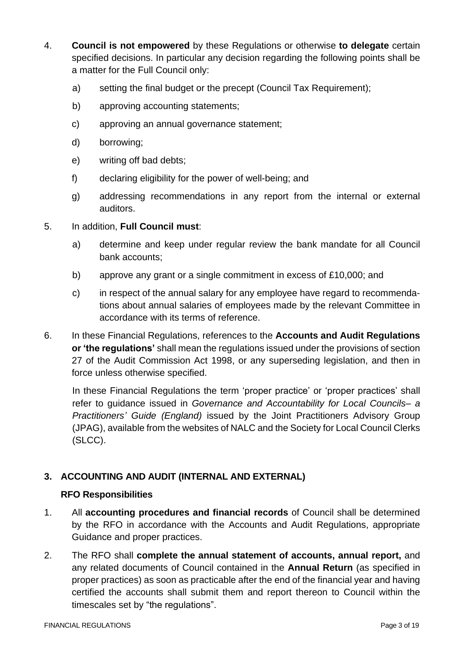- 4. **Council is not empowered** by these Regulations or otherwise **to delegate** certain specified decisions. In particular any decision regarding the following points shall be a matter for the Full Council only:
	- a) setting the final budget or the precept (Council Tax Requirement);
	- b) approving accounting statements;
	- c) approving an annual governance statement;
	- d) borrowing;
	- e) writing off bad debts;
	- f) declaring eligibility for the power of well-being; and
	- g) addressing recommendations in any report from the internal or external auditors.
- 5. In addition, **Full Council must**:
	- a) determine and keep under regular review the bank mandate for all Council bank accounts;
	- b) approve any grant or a single commitment in excess of £10,000; and
	- c) in respect of the annual salary for any employee have regard to recommendations about annual salaries of employees made by the relevant Committee in accordance with its terms of reference.
- 6. In these Financial Regulations, references to the **Accounts and Audit Regulations or 'the regulations'** shall mean the regulations issued under the provisions of section 27 of the Audit Commission Act 1998, or any superseding legislation, and then in force unless otherwise specified.

In these Financial Regulations the term 'proper practice' or 'proper practices' shall refer to guidance issued in *Governance and Accountability for Local Councils– a Practitioners' Guide (England)* issued by the Joint Practitioners Advisory Group (JPAG), available from the websites of NALC and the Society for Local Council Clerks (SLCC).

# **3. ACCOUNTING AND AUDIT (INTERNAL AND EXTERNAL)**

# **RFO Responsibilities**

- 1. All **accounting procedures and financial records** of Council shall be determined by the RFO in accordance with the Accounts and Audit Regulations, appropriate Guidance and proper practices.
- 2. The RFO shall **complete the annual statement of accounts, annual report,** and any related documents of Council contained in the **Annual Return** (as specified in proper practices) as soon as practicable after the end of the financial year and having certified the accounts shall submit them and report thereon to Council within the timescales set by "the regulations".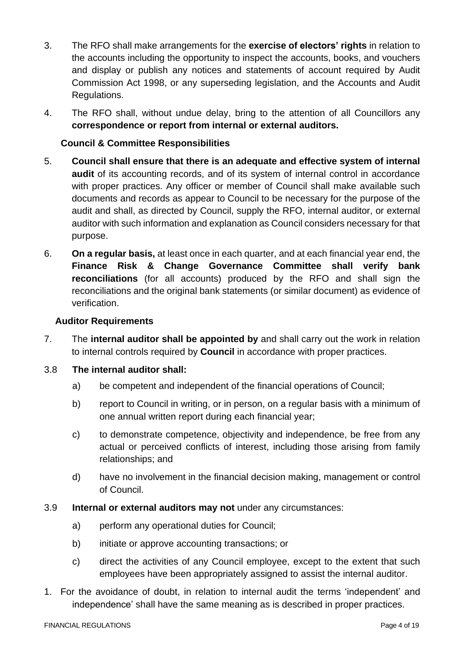- 3. The RFO shall make arrangements for the **exercise of electors' rights** in relation to the accounts including the opportunity to inspect the accounts, books, and vouchers and display or publish any notices and statements of account required by Audit Commission Act 1998, or any superseding legislation, and the Accounts and Audit Regulations.
- 4. The RFO shall, without undue delay, bring to the attention of all Councillors any **correspondence or report from internal or external auditors.**

# **Council & Committee Responsibilities**

- 5. **Council shall ensure that there is an adequate and effective system of internal audit** of its accounting records, and of its system of internal control in accordance with proper practices. Any officer or member of Council shall make available such documents and records as appear to Council to be necessary for the purpose of the audit and shall, as directed by Council, supply the RFO, internal auditor, or external auditor with such information and explanation as Council considers necessary for that purpose.
- 6. **On a regular basis,** at least once in each quarter, and at each financial year end, the **Finance Risk & Change Governance Committee shall verify bank reconciliations** (for all accounts) produced by the RFO and shall sign the reconciliations and the original bank statements (or similar document) as evidence of verification.

#### **Auditor Requirements**

- 7. The **internal auditor shall be appointed by** and shall carry out the work in relation to internal controls required by **Council** in accordance with proper practices.
- 3.8 **The internal auditor shall:**
	- a) be competent and independent of the financial operations of Council;
	- b) report to Council in writing, or in person, on a regular basis with a minimum of one annual written report during each financial year;
	- c) to demonstrate competence, objectivity and independence, be free from any actual or perceived conflicts of interest, including those arising from family relationships; and
	- d) have no involvement in the financial decision making, management or control of Council.
- 3.9 **Internal or external auditors may not** under any circumstances:
	- a) perform any operational duties for Council;
	- b) initiate or approve accounting transactions; or
	- c) direct the activities of any Council employee, except to the extent that such employees have been appropriately assigned to assist the internal auditor.
- 1. For the avoidance of doubt, in relation to internal audit the terms 'independent' and independence' shall have the same meaning as is described in proper practices.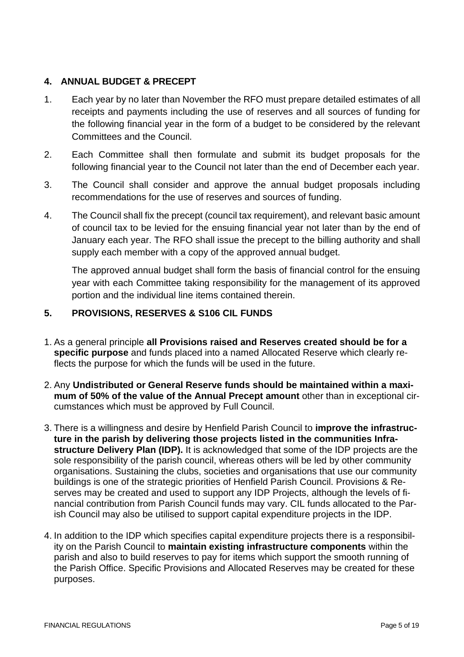### **4. ANNUAL BUDGET & PRECEPT**

- 1. Each year by no later than November the RFO must prepare detailed estimates of all receipts and payments including the use of reserves and all sources of funding for the following financial year in the form of a budget to be considered by the relevant Committees and the Council.
- 2. Each Committee shall then formulate and submit its budget proposals for the following financial year to the Council not later than the end of December each year.
- 3. The Council shall consider and approve the annual budget proposals including recommendations for the use of reserves and sources of funding.
- 4. The Council shall fix the precept (council tax requirement), and relevant basic amount of council tax to be levied for the ensuing financial year not later than by the end of January each year. The RFO shall issue the precept to the billing authority and shall supply each member with a copy of the approved annual budget.

The approved annual budget shall form the basis of financial control for the ensuing year with each Committee taking responsibility for the management of its approved portion and the individual line items contained therein.

# **5. PROVISIONS, RESERVES & S106 CIL FUNDS**

- 1. As a general principle **all Provisions raised and Reserves created should be for a specific purpose** and funds placed into a named Allocated Reserve which clearly reflects the purpose for which the funds will be used in the future.
- 2. Any **Undistributed or General Reserve funds should be maintained within a maximum of 50% of the value of the Annual Precept amount** other than in exceptional circumstances which must be approved by Full Council.
- 3. There is a willingness and desire by Henfield Parish Council to **improve the infrastructure in the parish by delivering those projects listed in the communities Infrastructure Delivery Plan (IDP).** It is acknowledged that some of the IDP projects are the sole responsibility of the parish council, whereas others will be led by other community organisations. Sustaining the clubs, societies and organisations that use our community buildings is one of the strategic priorities of Henfield Parish Council. Provisions & Reserves may be created and used to support any IDP Projects, although the levels of financial contribution from Parish Council funds may vary. CIL funds allocated to the Parish Council may also be utilised to support capital expenditure projects in the IDP.
- 4. In addition to the IDP which specifies capital expenditure projects there is a responsibility on the Parish Council to **maintain existing infrastructure components** within the parish and also to build reserves to pay for items which support the smooth running of the Parish Office. Specific Provisions and Allocated Reserves may be created for these purposes.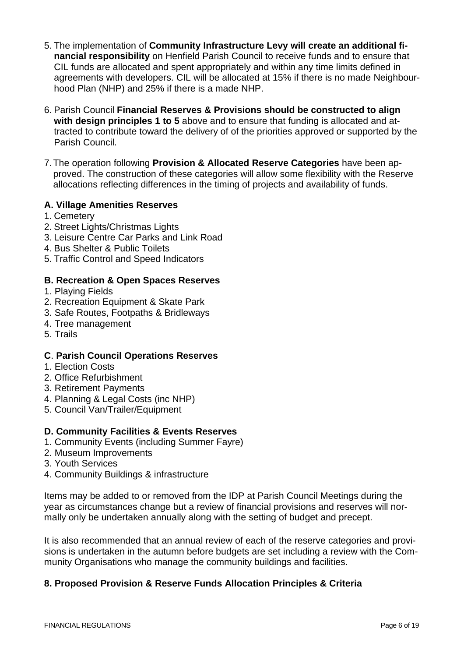- 5. The implementation of **Community Infrastructure Levy will create an additional financial responsibility** on Henfield Parish Council to receive funds and to ensure that CIL funds are allocated and spent appropriately and within any time limits defined in agreements with developers. CIL will be allocated at 15% if there is no made Neighbourhood Plan (NHP) and 25% if there is a made NHP.
- 6. Parish Council **Financial Reserves & Provisions should be constructed to align with design principles 1 to 5** above and to ensure that funding is allocated and attracted to contribute toward the delivery of of the priorities approved or supported by the Parish Council.
- 7.The operation following **Provision & Allocated Reserve Categories** have been approved. The construction of these categories will allow some flexibility with the Reserve allocations reflecting differences in the timing of projects and availability of funds.

### **A. Village Amenities Reserves**

- 1. Cemetery
- 2. Street Lights/Christmas Lights
- 3. Leisure Centre Car Parks and Link Road
- 4. Bus Shelter & Public Toilets
- 5. Traffic Control and Speed Indicators

### **B. Recreation & Open Spaces Reserves**

- 1. Playing Fields
- 2. Recreation Equipment & Skate Park
- 3. Safe Routes, Footpaths & Bridleways
- 4. Tree management
- 5. Trails

#### **C**. **Parish Council Operations Reserves**

- 1. Election Costs
- 2. Office Refurbishment
- 3. Retirement Payments
- 4. Planning & Legal Costs (inc NHP)
- 5. Council Van/Trailer/Equipment

#### **D. Community Facilities & Events Reserves**

- 1. Community Events (including Summer Fayre)
- 2. Museum Improvements
- 3. Youth Services
- 4. Community Buildings & infrastructure

Items may be added to or removed from the IDP at Parish Council Meetings during the year as circumstances change but a review of financial provisions and reserves will normally only be undertaken annually along with the setting of budget and precept.

It is also recommended that an annual review of each of the reserve categories and provisions is undertaken in the autumn before budgets are set including a review with the Community Organisations who manage the community buildings and facilities.

#### **8. Proposed Provision & Reserve Funds Allocation Principles & Criteria**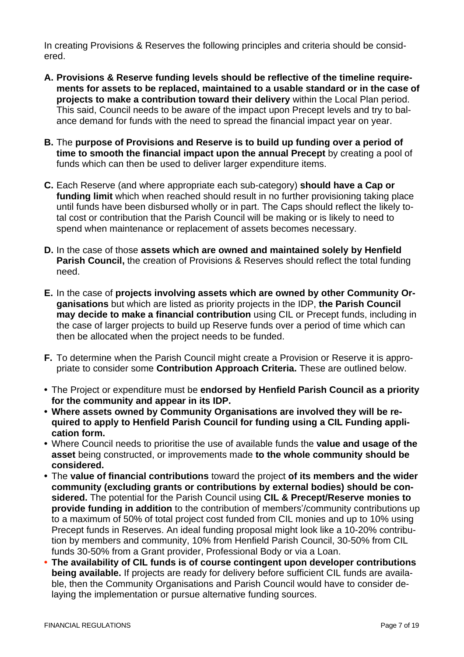In creating Provisions & Reserves the following principles and criteria should be considered.

- **A. Provisions & Reserve funding levels should be reflective of the timeline requirements for assets to be replaced, maintained to a usable standard or in the case of projects to make a contribution toward their delivery** within the Local Plan period. This said, Council needs to be aware of the impact upon Precept levels and try to balance demand for funds with the need to spread the financial impact year on year.
- **B.** The **purpose of Provisions and Reserve is to build up funding over a period of time to smooth the financial impact upon the annual Precept** by creating a pool of funds which can then be used to deliver larger expenditure items.
- **C.** Each Reserve (and where appropriate each sub-category) **should have a Cap or funding limit** which when reached should result in no further provisioning taking place until funds have been disbursed wholly or in part. The Caps should reflect the likely total cost or contribution that the Parish Council will be making or is likely to need to spend when maintenance or replacement of assets becomes necessary.
- **D.** In the case of those **assets which are owned and maintained solely by Henfield Parish Council,** the creation of Provisions & Reserves should reflect the total funding need.
- **E.** In the case of **projects involving assets which are owned by other Community Organisations** but which are listed as priority projects in the IDP, **the Parish Council may decide to make a financial contribution** using CIL or Precept funds, including in the case of larger projects to build up Reserve funds over a period of time which can then be allocated when the project needs to be funded.
- **F.** To determine when the Parish Council might create a Provision or Reserve it is appropriate to consider some **Contribution Approach Criteria.** These are outlined below.
- **•** The Project or expenditure must be **endorsed by Henfield Parish Council as a priority for the community and appear in its IDP.**
- **• Where assets owned by Community Organisations are involved they will be required to apply to Henfield Parish Council for funding using a CIL Funding application form.**
- **•** Where Council needs to prioritise the use of available funds the **value and usage of the asset** being constructed, or improvements made **to the whole community should be considered.**
- **•** The **value of financial contributions** toward the project **of its members and the wider community (excluding grants or contributions by external bodies) should be considered.** The potential for the Parish Council using **CIL & Precept/Reserve monies to provide funding in addition** to the contribution of members'/community contributions up to a maximum of 50% of total project cost funded from CIL monies and up to 10% using Precept funds in Reserves. An ideal funding proposal might look like a 10-20% contribution by members and community, 10% from Henfield Parish Council, 30-50% from CIL funds 30-50% from a Grant provider, Professional Body or via a Loan.
- **• The availability of CIL funds is of course contingent upon developer contributions being available.** If projects are ready for delivery before sufficient CIL funds are available, then the Community Organisations and Parish Council would have to consider delaying the implementation or pursue alternative funding sources.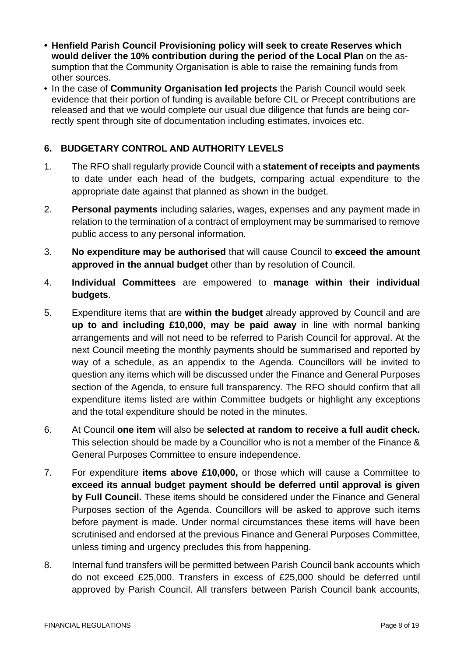- **• Henfield Parish Council Provisioning policy will seek to create Reserves which would deliver the 10% contribution during the period of the Local Plan** on the assumption that the Community Organisation is able to raise the remaining funds from other sources.
- **•** In the case of **Community Organisation led projects** the Parish Council would seek evidence that their portion of funding is available before CIL or Precept contributions are released and that we would complete our usual due diligence that funds are being correctly spent through site of documentation including estimates, invoices etc.

## **6. BUDGETARY CONTROL AND AUTHORITY LEVELS**

- 1. The RFO shall regularly provide Council with a **statement of receipts and payments** to date under each head of the budgets, comparing actual expenditure to the appropriate date against that planned as shown in the budget.
- 2. **Personal payments** including salaries, wages, expenses and any payment made in relation to the termination of a contract of employment may be summarised to remove public access to any personal information.
- 3. **No expenditure may be authorised** that will cause Council to **exceed the amount approved in the annual budget** other than by resolution of Council.
- 4. **Individual Committees** are empowered to **manage within their individual budgets**.
- 5. Expenditure items that are **within the budget** already approved by Council and are **up to and including £10,000, may be paid away** in line with normal banking arrangements and will not need to be referred to Parish Council for approval. At the next Council meeting the monthly payments should be summarised and reported by way of a schedule, as an appendix to the Agenda. Councillors will be invited to question any items which will be discussed under the Finance and General Purposes section of the Agenda, to ensure full transparency. The RFO should confirm that all expenditure items listed are within Committee budgets or highlight any exceptions and the total expenditure should be noted in the minutes.
- 6. At Council **one item** will also be **selected at random to receive a full audit check.** This selection should be made by a Councillor who is not a member of the Finance & General Purposes Committee to ensure independence.
- 7. For expenditure **items above £10,000,** or those which will cause a Committee to **exceed its annual budget payment should be deferred until approval is given by Full Council.** These items should be considered under the Finance and General Purposes section of the Agenda. Councillors will be asked to approve such items before payment is made. Under normal circumstances these items will have been scrutinised and endorsed at the previous Finance and General Purposes Committee, unless timing and urgency precludes this from happening.
- 8. Internal fund transfers will be permitted between Parish Council bank accounts which do not exceed £25,000. Transfers in excess of £25,000 should be deferred until approved by Parish Council. All transfers between Parish Council bank accounts,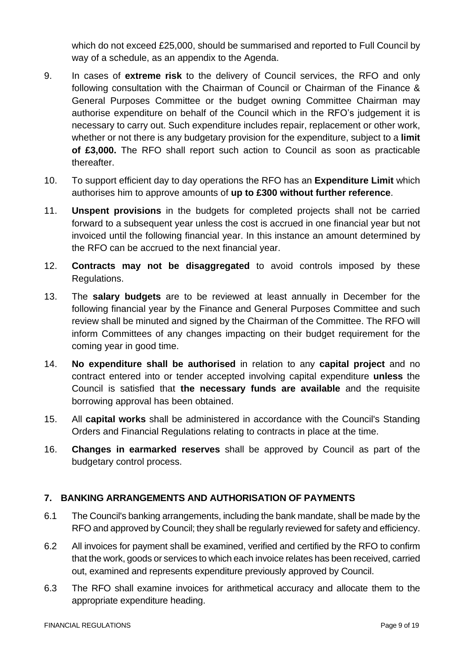which do not exceed £25,000, should be summarised and reported to Full Council by way of a schedule, as an appendix to the Agenda.

- 9. In cases of **extreme risk** to the delivery of Council services, the RFO and only following consultation with the Chairman of Council or Chairman of the Finance & General Purposes Committee or the budget owning Committee Chairman may authorise expenditure on behalf of the Council which in the RFO's judgement it is necessary to carry out. Such expenditure includes repair, replacement or other work, whether or not there is any budgetary provision for the expenditure, subject to a **limit of £3,000.** The RFO shall report such action to Council as soon as practicable thereafter.
- 10. To support efficient day to day operations the RFO has an **Expenditure Limit** which authorises him to approve amounts of **up to £300 without further reference**.
- 11. **Unspent provisions** in the budgets for completed projects shall not be carried forward to a subsequent year unless the cost is accrued in one financial year but not invoiced until the following financial year. In this instance an amount determined by the RFO can be accrued to the next financial year.
- 12. **Contracts may not be disaggregated** to avoid controls imposed by these Regulations.
- 13. The **salary budgets** are to be reviewed at least annually in December for the following financial year by the Finance and General Purposes Committee and such review shall be minuted and signed by the Chairman of the Committee. The RFO will inform Committees of any changes impacting on their budget requirement for the coming year in good time.
- 14. **No expenditure shall be authorised** in relation to any **capital project** and no contract entered into or tender accepted involving capital expenditure **unless** the Council is satisfied that **the necessary funds are available** and the requisite borrowing approval has been obtained.
- 15. All **capital works** shall be administered in accordance with the Council's Standing Orders and Financial Regulations relating to contracts in place at the time.
- 16. **Changes in earmarked reserves** shall be approved by Council as part of the budgetary control process.

# **7. BANKING ARRANGEMENTS AND AUTHORISATION OF PAYMENTS**

- 6.1 The Council's banking arrangements, including the bank mandate, shall be made by the RFO and approved by Council; they shall be regularly reviewed for safety and efficiency.
- 6.2 All invoices for payment shall be examined, verified and certified by the RFO to confirm that the work, goods or services to which each invoice relates has been received, carried out, examined and represents expenditure previously approved by Council.
- 6.3 The RFO shall examine invoices for arithmetical accuracy and allocate them to the appropriate expenditure heading.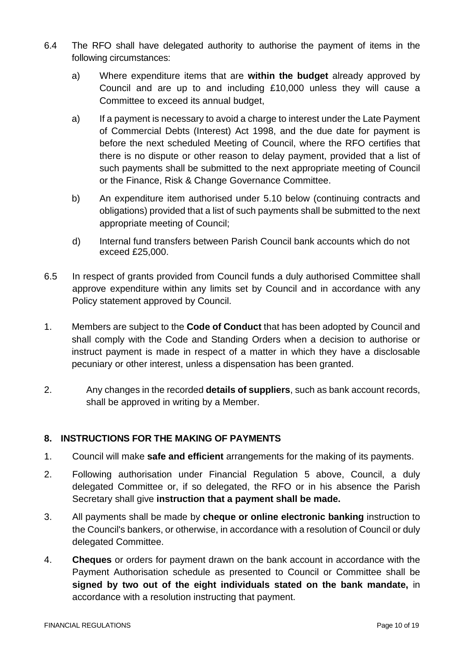- 6.4 The RFO shall have delegated authority to authorise the payment of items in the following circumstances:
	- a) Where expenditure items that are **within the budget** already approved by Council and are up to and including £10,000 unless they will cause a Committee to exceed its annual budget,
	- a) If a payment is necessary to avoid a charge to interest under the Late Payment of Commercial Debts (Interest) Act 1998, and the due date for payment is before the next scheduled Meeting of Council, where the RFO certifies that there is no dispute or other reason to delay payment, provided that a list of such payments shall be submitted to the next appropriate meeting of Council or the Finance, Risk & Change Governance Committee.
	- b) An expenditure item authorised under 5.10 below (continuing contracts and obligations) provided that a list of such payments shall be submitted to the next appropriate meeting of Council;
	- d) Internal fund transfers between Parish Council bank accounts which do not exceed £25,000.
- 6.5 In respect of grants provided from Council funds a duly authorised Committee shall approve expenditure within any limits set by Council and in accordance with any Policy statement approved by Council.
- 1. Members are subject to the **Code of Conduct** that has been adopted by Council and shall comply with the Code and Standing Orders when a decision to authorise or instruct payment is made in respect of a matter in which they have a disclosable pecuniary or other interest, unless a dispensation has been granted.
- 2. Any changes in the recorded **details of suppliers**, such as bank account records, shall be approved in writing by a Member.

# **8. INSTRUCTIONS FOR THE MAKING OF PAYMENTS**

- 1. Council will make **safe and efficient** arrangements for the making of its payments.
- 2. Following authorisation under Financial Regulation 5 above, Council, a duly delegated Committee or, if so delegated, the RFO or in his absence the Parish Secretary shall give **instruction that a payment shall be made.**
- 3. All payments shall be made by **cheque or online electronic banking** instruction to the Council's bankers, or otherwise, in accordance with a resolution of Council or duly delegated Committee.
- 4. **Cheques** or orders for payment drawn on the bank account in accordance with the Payment Authorisation schedule as presented to Council or Committee shall be **signed by two out of the eight individuals stated on the bank mandate,** in accordance with a resolution instructing that payment.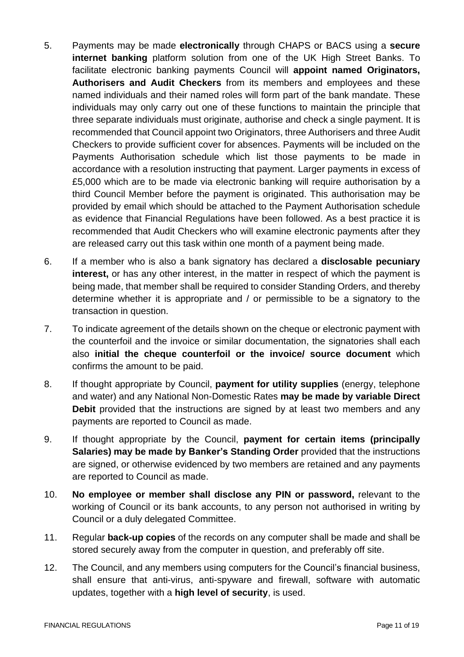- 5. Payments may be made **electronically** through CHAPS or BACS using a **secure internet banking** platform solution from one of the UK High Street Banks. To facilitate electronic banking payments Council will **appoint named Originators, Authorisers and Audit Checkers** from its members and employees and these named individuals and their named roles will form part of the bank mandate. These individuals may only carry out one of these functions to maintain the principle that three separate individuals must originate, authorise and check a single payment. It is recommended that Council appoint two Originators, three Authorisers and three Audit Checkers to provide sufficient cover for absences. Payments will be included on the Payments Authorisation schedule which list those payments to be made in accordance with a resolution instructing that payment. Larger payments in excess of £5,000 which are to be made via electronic banking will require authorisation by a third Council Member before the payment is originated. This authorisation may be provided by email which should be attached to the Payment Authorisation schedule as evidence that Financial Regulations have been followed. As a best practice it is recommended that Audit Checkers who will examine electronic payments after they are released carry out this task within one month of a payment being made.
- 6. If a member who is also a bank signatory has declared a **disclosable pecuniary interest,** or has any other interest, in the matter in respect of which the payment is being made, that member shall be required to consider Standing Orders, and thereby determine whether it is appropriate and / or permissible to be a signatory to the transaction in question.
- 7. To indicate agreement of the details shown on the cheque or electronic payment with the counterfoil and the invoice or similar documentation, the signatories shall each also **initial the cheque counterfoil or the invoice/ source document** which confirms the amount to be paid.
- 8. If thought appropriate by Council, **payment for utility supplies** (energy, telephone and water) and any National Non-Domestic Rates **may be made by variable Direct Debit** provided that the instructions are signed by at least two members and any payments are reported to Council as made.
- 9. If thought appropriate by the Council, **payment for certain items (principally Salaries) may be made by Banker's Standing Order** provided that the instructions are signed, or otherwise evidenced by two members are retained and any payments are reported to Council as made.
- 10. **No employee or member shall disclose any PIN or password,** relevant to the working of Council or its bank accounts, to any person not authorised in writing by Council or a duly delegated Committee.
- 11. Regular **back-up copies** of the records on any computer shall be made and shall be stored securely away from the computer in question, and preferably off site.
- 12. The Council, and any members using computers for the Council's financial business, shall ensure that anti-virus, anti-spyware and firewall, software with automatic updates, together with a **high level of security**, is used.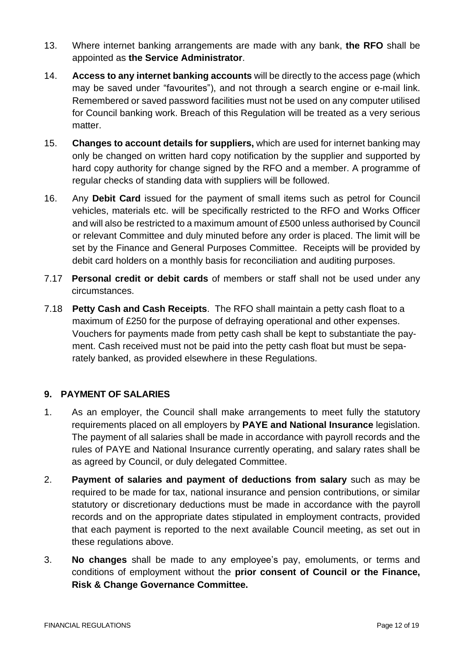- 13. Where internet banking arrangements are made with any bank, **the RFO** shall be appointed as **the Service Administrator**.
- 14. **Access to any internet banking accounts** will be directly to the access page (which may be saved under "favourites"), and not through a search engine or e-mail link. Remembered or saved password facilities must not be used on any computer utilised for Council banking work. Breach of this Regulation will be treated as a very serious matter.
- 15. **Changes to account details for suppliers,** which are used for internet banking may only be changed on written hard copy notification by the supplier and supported by hard copy authority for change signed by the RFO and a member. A programme of regular checks of standing data with suppliers will be followed.
- 16. Any **Debit Card** issued for the payment of small items such as petrol for Council vehicles, materials etc. will be specifically restricted to the RFO and Works Officer and will also be restricted to a maximum amount of £500 unless authorised by Council or relevant Committee and duly minuted before any order is placed. The limit will be set by the Finance and General Purposes Committee. Receipts will be provided by debit card holders on a monthly basis for reconciliation and auditing purposes.
- 7.17 **Personal credit or debit cards** of members or staff shall not be used under any circumstances.
- 7.18 **Petty Cash and Cash Receipts**. The RFO shall maintain a petty cash float to a maximum of £250 for the purpose of defraying operational and other expenses. Vouchers for payments made from petty cash shall be kept to substantiate the payment. Cash received must not be paid into the petty cash float but must be separately banked, as provided elsewhere in these Regulations.

# **9. PAYMENT OF SALARIES**

- 1. As an employer, the Council shall make arrangements to meet fully the statutory requirements placed on all employers by **PAYE and National Insurance** legislation. The payment of all salaries shall be made in accordance with payroll records and the rules of PAYE and National Insurance currently operating, and salary rates shall be as agreed by Council, or duly delegated Committee.
- 2. **Payment of salaries and payment of deductions from salary** such as may be required to be made for tax, national insurance and pension contributions, or similar statutory or discretionary deductions must be made in accordance with the payroll records and on the appropriate dates stipulated in employment contracts, provided that each payment is reported to the next available Council meeting, as set out in these regulations above.
- 3. **No changes** shall be made to any employee's pay, emoluments, or terms and conditions of employment without the **prior consent of Council or the Finance, Risk & Change Governance Committee.**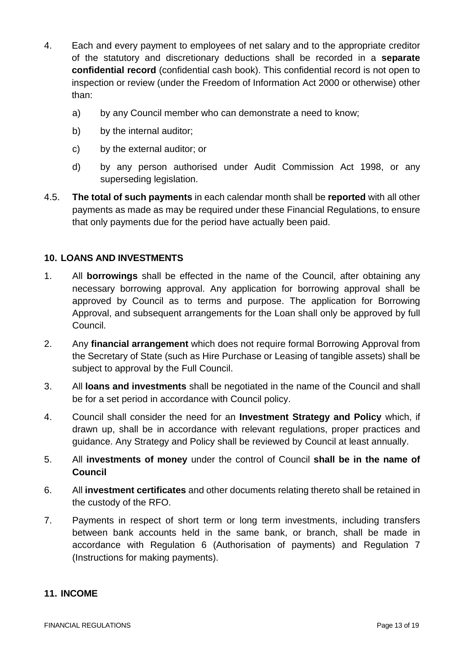- 4. Each and every payment to employees of net salary and to the appropriate creditor of the statutory and discretionary deductions shall be recorded in a **separate confidential record** (confidential cash book). This confidential record is not open to inspection or review (under the Freedom of Information Act 2000 or otherwise) other than:
	- a) by any Council member who can demonstrate a need to know;
	- b) by the internal auditor;
	- c) by the external auditor; or
	- d) by any person authorised under Audit Commission Act 1998, or any superseding legislation.
- 4.5. **The total of such payments** in each calendar month shall be **reported** with all other payments as made as may be required under these Financial Regulations, to ensure that only payments due for the period have actually been paid.

### **10. LOANS AND INVESTMENTS**

- 1. All **borrowings** shall be effected in the name of the Council, after obtaining any necessary borrowing approval. Any application for borrowing approval shall be approved by Council as to terms and purpose. The application for Borrowing Approval, and subsequent arrangements for the Loan shall only be approved by full Council.
- 2. Any **financial arrangement** which does not require formal Borrowing Approval from the Secretary of State (such as Hire Purchase or Leasing of tangible assets) shall be subject to approval by the Full Council.
- 3. All **loans and investments** shall be negotiated in the name of the Council and shall be for a set period in accordance with Council policy.
- 4. Council shall consider the need for an **Investment Strategy and Policy** which, if drawn up, shall be in accordance with relevant regulations, proper practices and guidance. Any Strategy and Policy shall be reviewed by Council at least annually.
- 5. All **investments of money** under the control of Council **shall be in the name of Council**
- 6. All **investment certificates** and other documents relating thereto shall be retained in the custody of the RFO.
- 7. Payments in respect of short term or long term investments, including transfers between bank accounts held in the same bank, or branch, shall be made in accordance with Regulation 6 (Authorisation of payments) and Regulation 7 (Instructions for making payments).

#### **11. INCOME**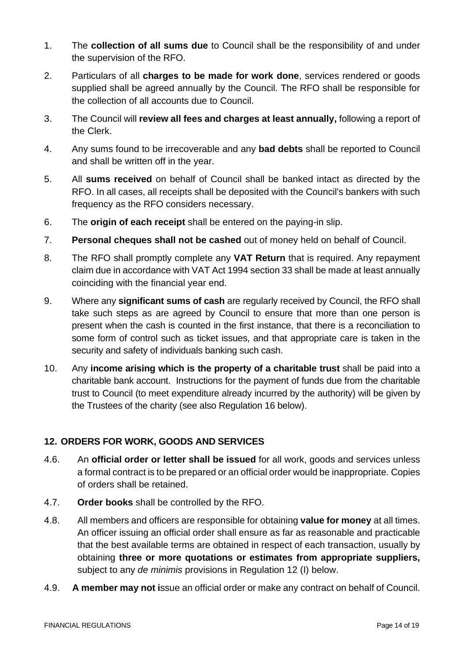- 1. The **collection of all sums due** to Council shall be the responsibility of and under the supervision of the RFO.
- 2. Particulars of all **charges to be made for work done**, services rendered or goods supplied shall be agreed annually by the Council. The RFO shall be responsible for the collection of all accounts due to Council.
- 3. The Council will **review all fees and charges at least annually,** following a report of the Clerk.
- 4. Any sums found to be irrecoverable and any **bad debts** shall be reported to Council and shall be written off in the year.
- 5. All **sums received** on behalf of Council shall be banked intact as directed by the RFO. In all cases, all receipts shall be deposited with the Council's bankers with such frequency as the RFO considers necessary.
- 6. The **origin of each receipt** shall be entered on the paying-in slip.
- 7. **Personal cheques shall not be cashed** out of money held on behalf of Council.
- 8. The RFO shall promptly complete any **VAT Return** that is required. Any repayment claim due in accordance with VAT Act 1994 section 33 shall be made at least annually coinciding with the financial year end.
- 9. Where any **significant sums of cash** are regularly received by Council, the RFO shall take such steps as are agreed by Council to ensure that more than one person is present when the cash is counted in the first instance, that there is a reconciliation to some form of control such as ticket issues, and that appropriate care is taken in the security and safety of individuals banking such cash.
- 10. Any **income arising which is the property of a charitable trust** shall be paid into a charitable bank account. Instructions for the payment of funds due from the charitable trust to Council (to meet expenditure already incurred by the authority) will be given by the Trustees of the charity (see also Regulation 16 below).

# **12. ORDERS FOR WORK, GOODS AND SERVICES**

- 4.6. An **official order or letter shall be issued** for all work, goods and services unless a formal contract is to be prepared or an official order would be inappropriate. Copies of orders shall be retained.
- 4.7. **Order books** shall be controlled by the RFO.
- 4.8. All members and officers are responsible for obtaining **value for money** at all times. An officer issuing an official order shall ensure as far as reasonable and practicable that the best available terms are obtained in respect of each transaction, usually by obtaining **three or more quotations or estimates from appropriate suppliers,** subject to any *de minimis* provisions in Regulation 12 (I) below.
- 4.9. **A member may not i**ssue an official order or make any contract on behalf of Council.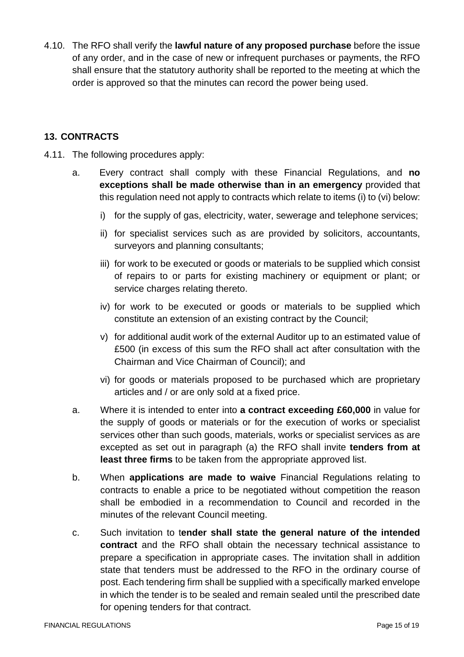4.10. The RFO shall verify the **lawful nature of any proposed purchase** before the issue of any order, and in the case of new or infrequent purchases or payments, the RFO shall ensure that the statutory authority shall be reported to the meeting at which the order is approved so that the minutes can record the power being used.

# **13. CONTRACTS**

- 4.11. The following procedures apply:
	- a. Every contract shall comply with these Financial Regulations, and **no exceptions shall be made otherwise than in an emergency** provided that this regulation need not apply to contracts which relate to items (i) to (vi) below:
		- i) for the supply of gas, electricity, water, sewerage and telephone services;
		- ii) for specialist services such as are provided by solicitors, accountants, surveyors and planning consultants;
		- iii) for work to be executed or goods or materials to be supplied which consist of repairs to or parts for existing machinery or equipment or plant; or service charges relating thereto.
		- iv) for work to be executed or goods or materials to be supplied which constitute an extension of an existing contract by the Council;
		- v) for additional audit work of the external Auditor up to an estimated value of £500 (in excess of this sum the RFO shall act after consultation with the Chairman and Vice Chairman of Council); and
		- vi) for goods or materials proposed to be purchased which are proprietary articles and / or are only sold at a fixed price.
	- a. Where it is intended to enter into **a contract exceeding £60,000** in value for the supply of goods or materials or for the execution of works or specialist services other than such goods, materials, works or specialist services as are excepted as set out in paragraph (a) the RFO shall invite **tenders from at least three firms** to be taken from the appropriate approved list.
	- b. When **applications are made to waive** Financial Regulations relating to contracts to enable a price to be negotiated without competition the reason shall be embodied in a recommendation to Council and recorded in the minutes of the relevant Council meeting.
	- c. Such invitation to t**ender shall state the general nature of the intended contract** and the RFO shall obtain the necessary technical assistance to prepare a specification in appropriate cases. The invitation shall in addition state that tenders must be addressed to the RFO in the ordinary course of post. Each tendering firm shall be supplied with a specifically marked envelope in which the tender is to be sealed and remain sealed until the prescribed date for opening tenders for that contract.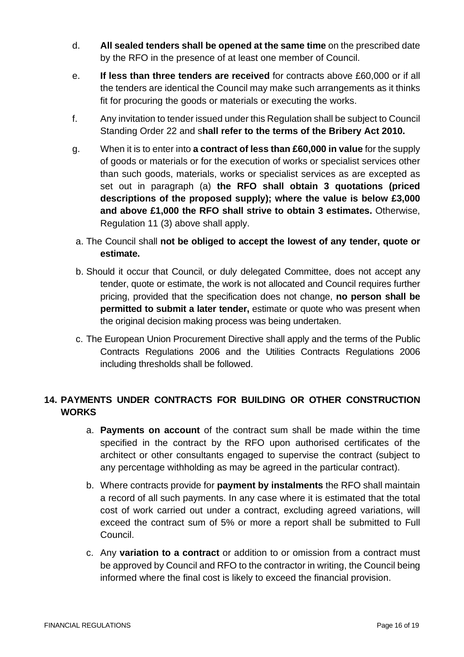- d. **All sealed tenders shall be opened at the same time** on the prescribed date by the RFO in the presence of at least one member of Council.
- e. **If less than three tenders are received** for contracts above £60,000 or if all the tenders are identical the Council may make such arrangements as it thinks fit for procuring the goods or materials or executing the works.
- f. Any invitation to tender issued under this Regulation shall be subject to Council Standing Order 22 and s**hall refer to the terms of the Bribery Act 2010.**
- g. When it is to enter into **a contract of less than £60,000 in value** for the supply of goods or materials or for the execution of works or specialist services other than such goods, materials, works or specialist services as are excepted as set out in paragraph (a) **the RFO shall obtain 3 quotations (priced descriptions of the proposed supply); where the value is below £3,000 and above £1,000 the RFO shall strive to obtain 3 estimates.** Otherwise, Regulation 11 (3) above shall apply.
- a. The Council shall **not be obliged to accept the lowest of any tender, quote or estimate.**
- b. Should it occur that Council, or duly delegated Committee, does not accept any tender, quote or estimate, the work is not allocated and Council requires further pricing, provided that the specification does not change, **no person shall be permitted to submit a later tender,** estimate or quote who was present when the original decision making process was being undertaken.
- c. The European Union Procurement Directive shall apply and the terms of the Public Contracts Regulations 2006 and the Utilities Contracts Regulations 2006 including thresholds shall be followed.

# **14. PAYMENTS UNDER CONTRACTS FOR BUILDING OR OTHER CONSTRUCTION WORKS**

- a. **Payments on account** of the contract sum shall be made within the time specified in the contract by the RFO upon authorised certificates of the architect or other consultants engaged to supervise the contract (subject to any percentage withholding as may be agreed in the particular contract).
- b. Where contracts provide for **payment by instalments** the RFO shall maintain a record of all such payments. In any case where it is estimated that the total cost of work carried out under a contract, excluding agreed variations, will exceed the contract sum of 5% or more a report shall be submitted to Full Council.
- c. Any **variation to a contract** or addition to or omission from a contract must be approved by Council and RFO to the contractor in writing, the Council being informed where the final cost is likely to exceed the financial provision.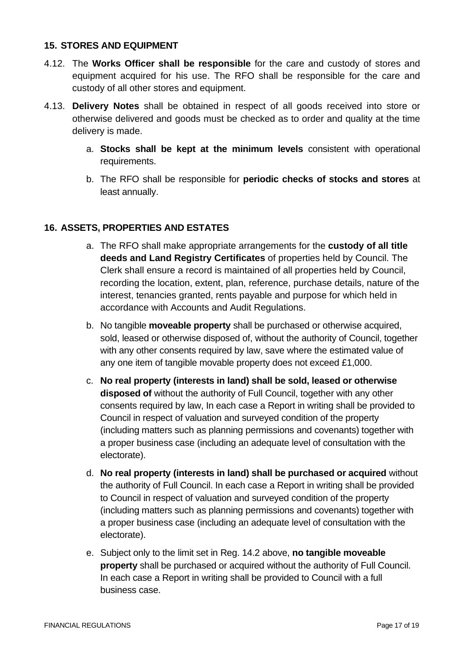### **15. STORES AND EQUIPMENT**

- 4.12. The **Works Officer shall be responsible** for the care and custody of stores and equipment acquired for his use. The RFO shall be responsible for the care and custody of all other stores and equipment.
- 4.13. **Delivery Notes** shall be obtained in respect of all goods received into store or otherwise delivered and goods must be checked as to order and quality at the time delivery is made.
	- a. **Stocks shall be kept at the minimum levels** consistent with operational requirements.
	- b. The RFO shall be responsible for **periodic checks of stocks and stores** at least annually.

### **16. ASSETS, PROPERTIES AND ESTATES**

- a. The RFO shall make appropriate arrangements for the **custody of all title deeds and Land Registry Certificates** of properties held by Council. The Clerk shall ensure a record is maintained of all properties held by Council, recording the location, extent, plan, reference, purchase details, nature of the interest, tenancies granted, rents payable and purpose for which held in accordance with Accounts and Audit Regulations.
- b. No tangible **moveable property** shall be purchased or otherwise acquired, sold, leased or otherwise disposed of, without the authority of Council, together with any other consents required by law, save where the estimated value of any one item of tangible movable property does not exceed £1,000.
- c. **No real property (interests in land) shall be sold, leased or otherwise disposed of** without the authority of Full Council, together with any other consents required by law, In each case a Report in writing shall be provided to Council in respect of valuation and surveyed condition of the property (including matters such as planning permissions and covenants) together with a proper business case (including an adequate level of consultation with the electorate).
- d. **No real property (interests in land) shall be purchased or acquired** without the authority of Full Council. In each case a Report in writing shall be provided to Council in respect of valuation and surveyed condition of the property (including matters such as planning permissions and covenants) together with a proper business case (including an adequate level of consultation with the electorate).
- e. Subject only to the limit set in Reg. 14.2 above, **no tangible moveable property** shall be purchased or acquired without the authority of Full Council. In each case a Report in writing shall be provided to Council with a full business case.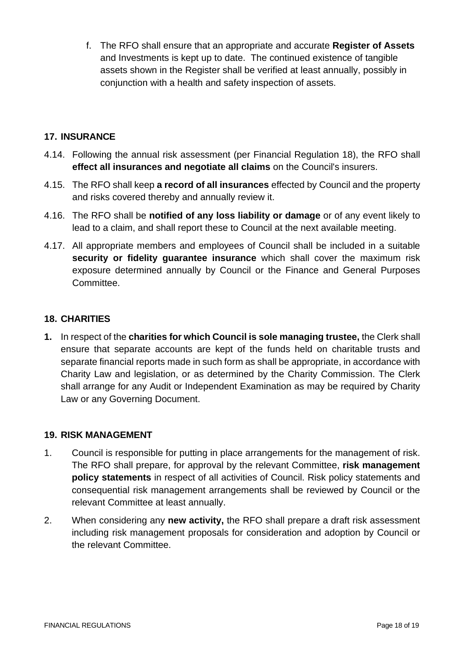f. The RFO shall ensure that an appropriate and accurate **Register of Assets** and Investments is kept up to date. The continued existence of tangible assets shown in the Register shall be verified at least annually, possibly in conjunction with a health and safety inspection of assets.

## **17. INSURANCE**

- 4.14. Following the annual risk assessment (per Financial Regulation 18), the RFO shall **effect all insurances and negotiate all claims** on the Council's insurers.
- 4.15. The RFO shall keep **a record of all insurances** effected by Council and the property and risks covered thereby and annually review it.
- 4.16. The RFO shall be **notified of any loss liability or damage** or of any event likely to lead to a claim, and shall report these to Council at the next available meeting.
- 4.17. All appropriate members and employees of Council shall be included in a suitable **security or fidelity guarantee insurance** which shall cover the maximum risk exposure determined annually by Council or the Finance and General Purposes Committee.

# **18. CHARITIES**

**1.** In respect of the **charities for which Council is sole managing trustee,** the Clerk shall ensure that separate accounts are kept of the funds held on charitable trusts and separate financial reports made in such form as shall be appropriate, in accordance with Charity Law and legislation, or as determined by the Charity Commission. The Clerk shall arrange for any Audit or Independent Examination as may be required by Charity Law or any Governing Document.

#### **19. RISK MANAGEMENT**

- 1. Council is responsible for putting in place arrangements for the management of risk. The RFO shall prepare, for approval by the relevant Committee, **risk management policy statements** in respect of all activities of Council. Risk policy statements and consequential risk management arrangements shall be reviewed by Council or the relevant Committee at least annually.
- 2. When considering any **new activity,** the RFO shall prepare a draft risk assessment including risk management proposals for consideration and adoption by Council or the relevant Committee.